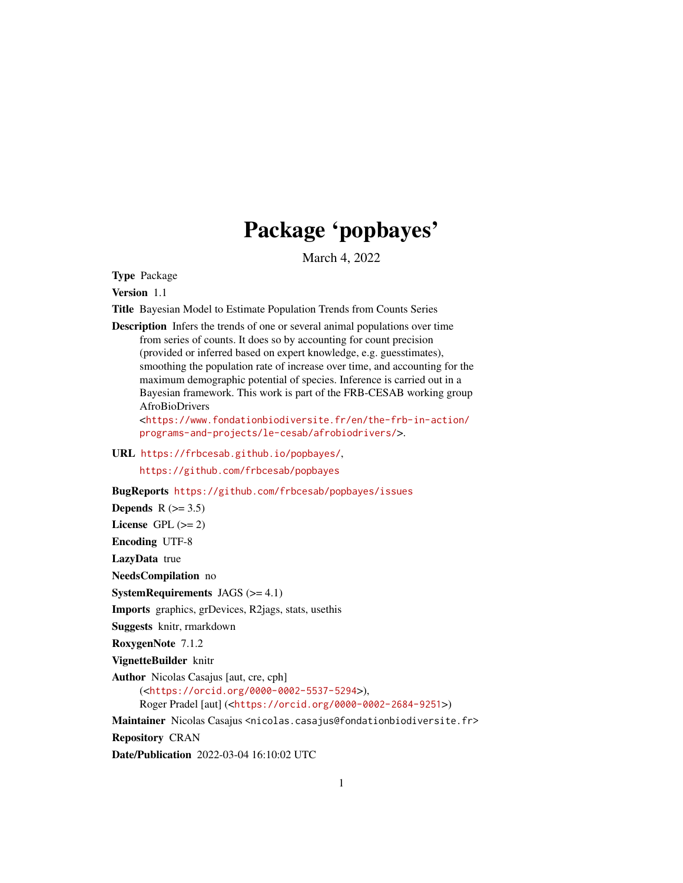# Package 'popbayes'

March 4, 2022

<span id="page-0-0"></span>Type Package

Version 1.1

Title Bayesian Model to Estimate Population Trends from Counts Series

Description Infers the trends of one or several animal populations over time from series of counts. It does so by accounting for count precision (provided or inferred based on expert knowledge, e.g. guesstimates), smoothing the population rate of increase over time, and accounting for the maximum demographic potential of species. Inference is carried out in a Bayesian framework. This work is part of the FRB-CESAB working group AfroBioDrivers

<[https://www.fondationbiodiversite.fr/en/the-frb-in-action/](https://www.fondationbiodiversite.fr/en/the-frb-in-action/programs-and-projects/le-cesab/afrobiodrivers/) [programs-and-projects/le-cesab/afrobiodrivers/](https://www.fondationbiodiversite.fr/en/the-frb-in-action/programs-and-projects/le-cesab/afrobiodrivers/)>.

URL <https://frbcesab.github.io/popbayes/>,

<https://github.com/frbcesab/popbayes>

BugReports <https://github.com/frbcesab/popbayes/issues>

Depends  $R$  ( $>= 3.5$ )

License GPL  $(>= 2)$ 

Encoding UTF-8

LazyData true

NeedsCompilation no

**SystemRequirements** JAGS  $(>= 4.1)$ 

Imports graphics, grDevices, R2jags, stats, usethis

Suggests knitr, rmarkdown

RoxygenNote 7.1.2

VignetteBuilder knitr

Author Nicolas Casajus [aut, cre, cph]

(<<https://orcid.org/0000-0002-5537-5294>>), Roger Pradel [aut] (<<https://orcid.org/0000-0002-2684-9251>>)

Maintainer Nicolas Casajus <nicolas.casajus@fondationbiodiversite.fr>

Repository CRAN

Date/Publication 2022-03-04 16:10:02 UTC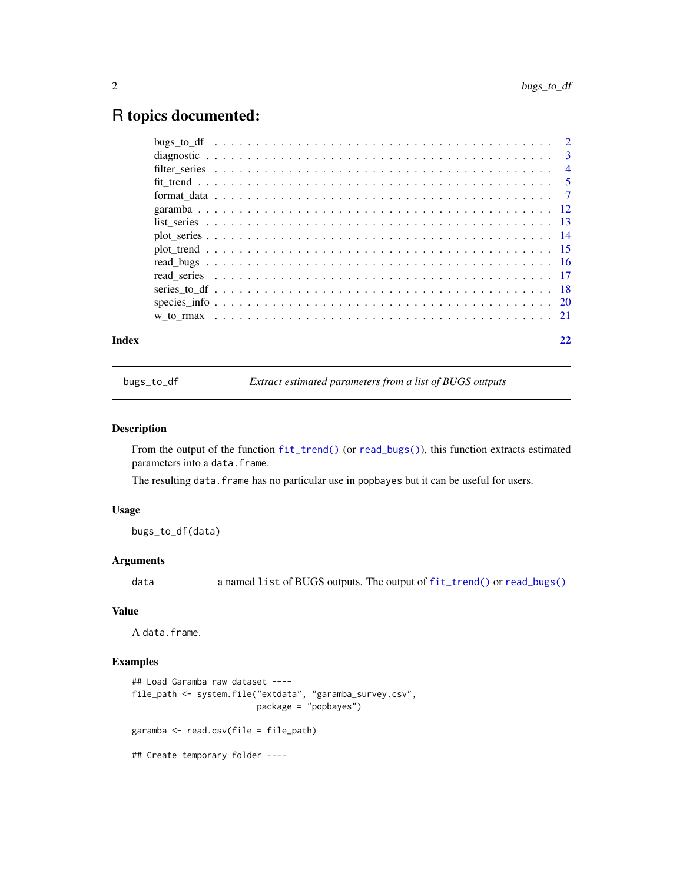# <span id="page-1-0"></span>R topics documented:

| Index |  |  |  |  |  |  |  |  |  |  |  |  |  |  |  |  |  |  |  |
|-------|--|--|--|--|--|--|--|--|--|--|--|--|--|--|--|--|--|--|--|
|       |  |  |  |  |  |  |  |  |  |  |  |  |  |  |  |  |  |  |  |
|       |  |  |  |  |  |  |  |  |  |  |  |  |  |  |  |  |  |  |  |
|       |  |  |  |  |  |  |  |  |  |  |  |  |  |  |  |  |  |  |  |
|       |  |  |  |  |  |  |  |  |  |  |  |  |  |  |  |  |  |  |  |
|       |  |  |  |  |  |  |  |  |  |  |  |  |  |  |  |  |  |  |  |
|       |  |  |  |  |  |  |  |  |  |  |  |  |  |  |  |  |  |  |  |
|       |  |  |  |  |  |  |  |  |  |  |  |  |  |  |  |  |  |  |  |
|       |  |  |  |  |  |  |  |  |  |  |  |  |  |  |  |  |  |  |  |
|       |  |  |  |  |  |  |  |  |  |  |  |  |  |  |  |  |  |  |  |
|       |  |  |  |  |  |  |  |  |  |  |  |  |  |  |  |  |  |  |  |
|       |  |  |  |  |  |  |  |  |  |  |  |  |  |  |  |  |  |  |  |
|       |  |  |  |  |  |  |  |  |  |  |  |  |  |  |  |  |  |  |  |
|       |  |  |  |  |  |  |  |  |  |  |  |  |  |  |  |  |  |  |  |
|       |  |  |  |  |  |  |  |  |  |  |  |  |  |  |  |  |  |  |  |

bugs\_to\_df *Extract estimated parameters from a list of BUGS outputs*

# Description

From the output of the function [fit\\_trend\(\)](#page-4-1) (or [read\\_bugs\(\)](#page-15-1)), this function extracts estimated parameters into a data.frame.

The resulting data. frame has no particular use in popbayes but it can be useful for users.

# Usage

bugs\_to\_df(data)

# Arguments

data a named list of BUGS outputs. The output of [fit\\_trend\(\)](#page-4-1) or [read\\_bugs\(\)](#page-15-1)

# Value

A data.frame.

```
## Load Garamba raw dataset ----
file_path <- system.file("extdata", "garamba_survey.csv",
                        package = "popbayes")
garamba <- read.csv(file = file_path)
## Create temporary folder ----
```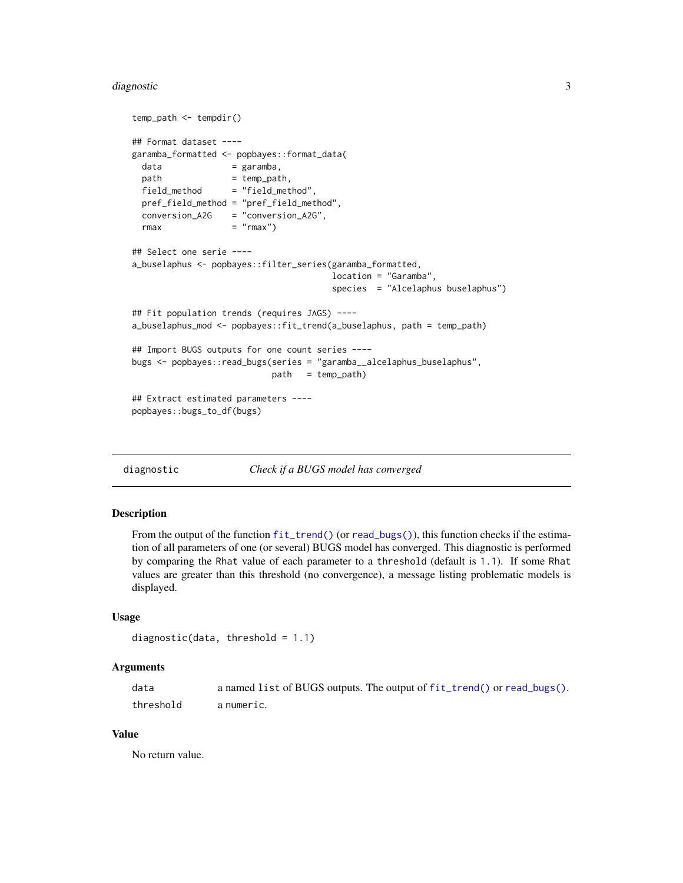#### <span id="page-2-0"></span>diagnostic 3

```
temp_path <- tempdir()
## Format dataset ----
garamba_formatted <- popbayes::format_data(
 data = garamba,
 path = temp_path,
 field_method = "field_method",
 pref_field_method = "pref_field_method",
 conversion_A2G = "conversion_A2G",
 rmax = "rmax")## Select one serie ----
a_buselaphus <- popbayes::filter_series(garamba_formatted,
                                     location = "Garamba",
                                     species = "Alcelaphus buselaphus")
## Fit population trends (requires JAGS) ----
a_buselaphus_mod <- popbayes::fit_trend(a_buselaphus, path = temp_path)
## Import BUGS outputs for one count series ----
bugs <- popbayes::read_bugs(series = "garamba__alcelaphus_buselaphus",
                          path = temp_path)
## Extract estimated parameters ----
popbayes::bugs_to_df(bugs)
```
diagnostic *Check if a BUGS model has converged*

# Description

From the output of the function [fit\\_trend\(\)](#page-4-1) (or [read\\_bugs\(\)](#page-15-1)), this function checks if the estimation of all parameters of one (or several) BUGS model has converged. This diagnostic is performed by comparing the Rhat value of each parameter to a threshold (default is 1.1). If some Rhat values are greater than this threshold (no convergence), a message listing problematic models is displayed.

#### Usage

```
diagnostic(data, threshold = 1.1)
```
#### Arguments

| data      | a named list of BUGS outputs. The output of fit_trend() or read_bugs(). |
|-----------|-------------------------------------------------------------------------|
| threshold | a numeric.                                                              |

#### Value

No return value.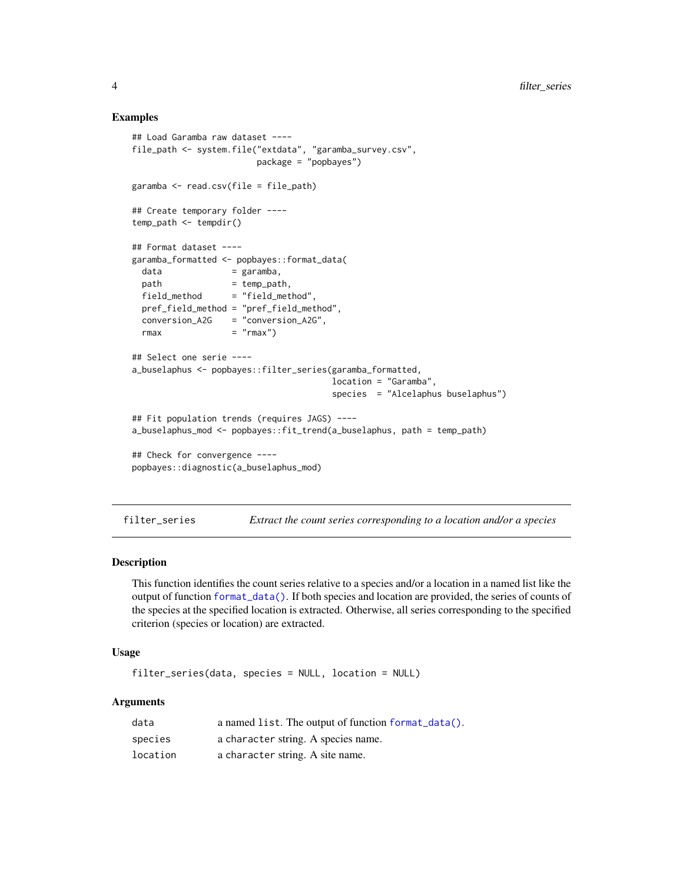# Examples

```
## Load Garamba raw dataset ----
file_path <- system.file("extdata", "garamba_survey.csv",
                       package = "popbayes")
garamba <- read.csv(file = file_path)
## Create temporary folder ----
temp\_path \leq -tempdir()## Format dataset ----
garamba_formatted <- popbayes::format_data(
 data = garamba,
 path = temp_path,
 field_method = "field_method",
 pref_field_method = "pref_field_method",
 conversion_A2G = "conversion_A2G",
 rmax = "rmax")## Select one serie ----
a_buselaphus <- popbayes::filter_series(garamba_formatted,
                                      location = "Garamba",
                                      species = "Alcelaphus buselaphus")
## Fit population trends (requires JAGS) ----
a_buselaphus_mod <- popbayes::fit_trend(a_buselaphus, path = temp_path)
## Check for convergence ----
popbayes::diagnostic(a_buselaphus_mod)
```
<span id="page-3-1"></span>filter\_series *Extract the count series corresponding to a location and/or a species*

# Description

This function identifies the count series relative to a species and/or a location in a named list like the output of function [format\\_data\(\)](#page-6-1). If both species and location are provided, the series of counts of the species at the specified location is extracted. Otherwise, all series corresponding to the specified criterion (species or location) are extracted.

#### Usage

filter\_series(data, species = NULL, location = NULL)

#### Arguments

| data     | a named list. The output of function format_data(). |
|----------|-----------------------------------------------------|
| species  | a character string. A species name.                 |
| location | a character string. A site name.                    |

<span id="page-3-0"></span>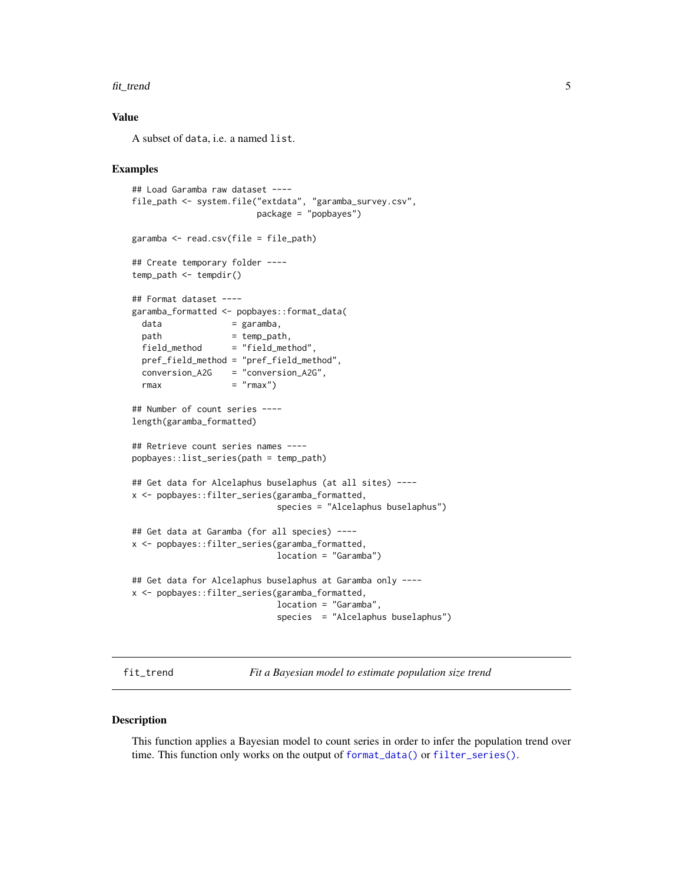#### <span id="page-4-0"></span>fit\_trend 5

# Value

A subset of data, i.e. a named list.

# Examples

```
## Load Garamba raw dataset ----
file_path <- system.file("extdata", "garamba_survey.csv",
                       package = "popbayes")
garamba <- read.csv(file = file_path)
## Create temporary folder ----
temp_path <- tempdir()
## Format dataset ----
garamba_formatted <- popbayes::format_data(
 data = garamba,
 path = temp_path,
 field_method = "field_method",
 pref_field_method = "pref_field_method",
 conversion_A2G = "conversion_A2G",
 rmax = "rmax")## Number of count series ----
length(garamba_formatted)
## Retrieve count series names ----
popbayes::list_series(path = temp_path)
## Get data for Alcelaphus buselaphus (at all sites) ----
x <- popbayes::filter_series(garamba_formatted,
                           species = "Alcelaphus buselaphus")
## Get data at Garamba (for all species) ----
x <- popbayes::filter_series(garamba_formatted,
                           location = "Garamba")
## Get data for Alcelaphus buselaphus at Garamba only ----
x <- popbayes::filter_series(garamba_formatted,
                           location = "Garamba",
                            species = "Alcelaphus buselaphus")
```
<span id="page-4-1"></span>fit\_trend *Fit a Bayesian model to estimate population size trend*

#### Description

This function applies a Bayesian model to count series in order to infer the population trend over time. This function only works on the output of [format\\_data\(\)](#page-6-1) or [filter\\_series\(\)](#page-3-1).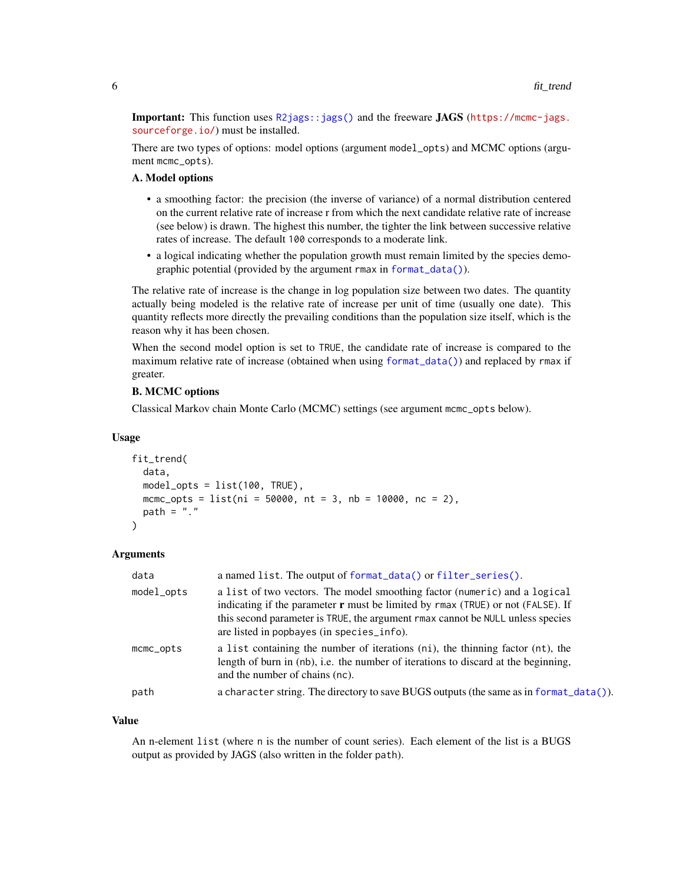<span id="page-5-0"></span>**Important:** This function uses  $R2jags::jags()$  and the freeware JAGS ([https://mcmc-jags.](https://mcmc-jags.sourceforge.io/) [sourceforge.io/](https://mcmc-jags.sourceforge.io/)) must be installed.

There are two types of options: model options (argument model\_opts) and MCMC options (argument mcmc\_opts).

# A. Model options

- a smoothing factor: the precision (the inverse of variance) of a normal distribution centered on the current relative rate of increase r from which the next candidate relative rate of increase (see below) is drawn. The highest this number, the tighter the link between successive relative rates of increase. The default 100 corresponds to a moderate link.
- a logical indicating whether the population growth must remain limited by the species demographic potential (provided by the argument rmax in [format\\_data\(\)](#page-6-1)).

The relative rate of increase is the change in log population size between two dates. The quantity actually being modeled is the relative rate of increase per unit of time (usually one date). This quantity reflects more directly the prevailing conditions than the population size itself, which is the reason why it has been chosen.

When the second model option is set to TRUE, the candidate rate of increase is compared to the maximum relative rate of increase (obtained when using [format\\_data\(\)](#page-6-1)) and replaced by rmax if greater.

# B. MCMC options

Classical Markov chain Monte Carlo (MCMC) settings (see argument mcmc\_opts below).

#### Usage

```
fit_trend(
  data,
  model_opts = list(100, TRUE),mcmc_opts = list(ni = 50000, nt = 3, nb = 10000, nc = 2),
  path = "."
)
```
# **Arguments**

| model_opts      | a list of two vectors. The model smoothing factor (numeric) and a logical<br>indicating if the parameter $\bf{r}$ must be limited by $\bf{r}$ max (TRUE) or not (FALSE). If<br>this second parameter is TRUE, the argument rmax cannot be NULL unless species<br>are listed in popbayes (in species_info). |
|-----------------|------------------------------------------------------------------------------------------------------------------------------------------------------------------------------------------------------------------------------------------------------------------------------------------------------------|
| $m$ c $m$ copts | a list containing the number of iterations (ni), the thinning factor (nt), the<br>length of burn in (nb), i.e. the number of iterations to discard at the beginning,<br>and the number of chains (nc).                                                                                                     |
| path            | a character string. The directory to save BUGS outputs (the same as in format_data()).                                                                                                                                                                                                                     |

#### Value

An n-element list (where n is the number of count series). Each element of the list is a BUGS output as provided by JAGS (also written in the folder path).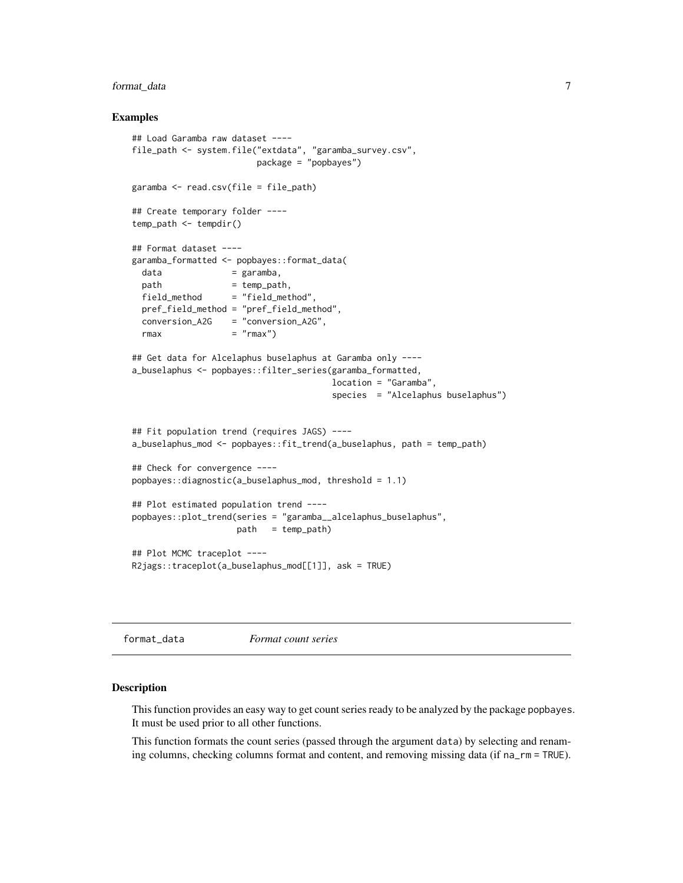# <span id="page-6-0"></span>format\_data 7

# Examples

```
## Load Garamba raw dataset ----
file_path <- system.file("extdata", "garamba_survey.csv",
                       package = "popbayes")
garamba <- read.csv(file = file_path)
## Create temporary folder ----
temp\_path \leq -tempdir()## Format dataset ----
garamba_formatted <- popbayes::format_data(
 data = garamba,
 path = temp\_path,field_method = "field_method",
 pref_field_method = "pref_field_method",
 conversion_A2G = "conversion_A2G",
 rmax = "rmax")
## Get data for Alcelaphus buselaphus at Garamba only ----
a_buselaphus <- popbayes::filter_series(garamba_formatted,
                                      location = "Garamba",
                                      species = "Alcelaphus buselaphus")
## Fit population trend (requires JAGS) ----
a_buselaphus_mod <- popbayes::fit_trend(a_buselaphus, path = temp_path)
## Check for convergence ----
popbayes::diagnostic(a_buselaphus_mod, threshold = 1.1)
## Plot estimated population trend ----
popbayes::plot_trend(series = "garamba__alcelaphus_buselaphus",
                    path = temp\_path)## Plot MCMC traceplot ----
R2jags::traceplot(a_buselaphus_mod[[1]], ask = TRUE)
```
<span id="page-6-1"></span>format\_data *Format count series*

# **Description**

This function provides an easy way to get count series ready to be analyzed by the package popbayes. It must be used prior to all other functions.

This function formats the count series (passed through the argument data) by selecting and renaming columns, checking columns format and content, and removing missing data (if na\_rm = TRUE).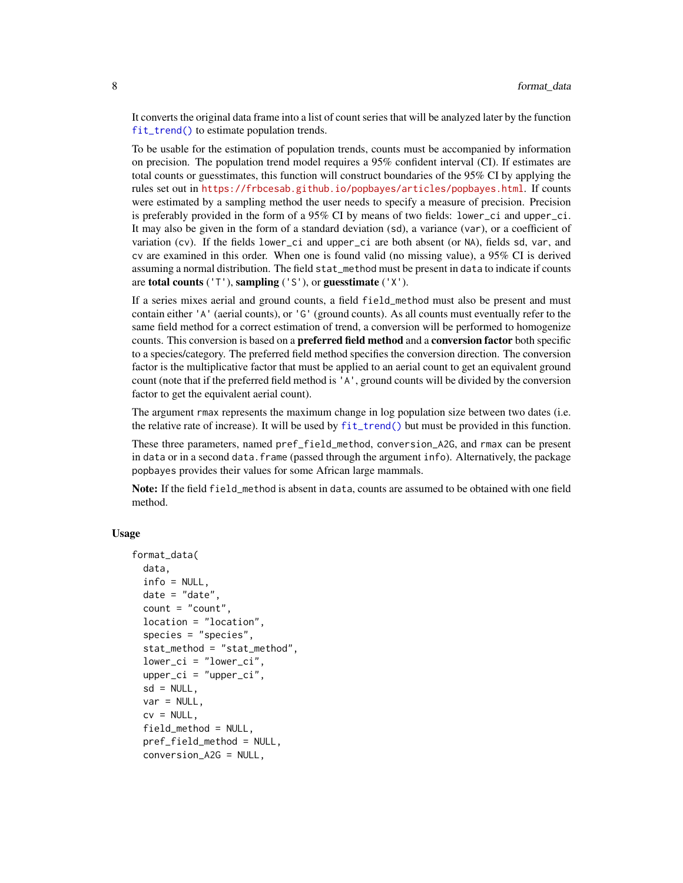<span id="page-7-0"></span>It converts the original data frame into a list of count series that will be analyzed later by the function [fit\\_trend\(\)](#page-4-1) to estimate population trends.

To be usable for the estimation of population trends, counts must be accompanied by information on precision. The population trend model requires a 95% confident interval (CI). If estimates are total counts or guesstimates, this function will construct boundaries of the 95% CI by applying the rules set out in <https://frbcesab.github.io/popbayes/articles/popbayes.html>. If counts were estimated by a sampling method the user needs to specify a measure of precision. Precision is preferably provided in the form of a 95% CI by means of two fields: lower\_ci and upper\_ci. It may also be given in the form of a standard deviation (sd), a variance (var), or a coefficient of variation (cv). If the fields lower\_ci and upper\_ci are both absent (or NA), fields sd, var, and cv are examined in this order. When one is found valid (no missing value), a 95% CI is derived assuming a normal distribution. The field stat\_method must be present in data to indicate if counts are total counts ( $'T'$ ), sampling ( $'S'$ ), or guesstimate ( $'X'$ ).

If a series mixes aerial and ground counts, a field field\_method must also be present and must contain either 'A' (aerial counts), or 'G' (ground counts). As all counts must eventually refer to the same field method for a correct estimation of trend, a conversion will be performed to homogenize counts. This conversion is based on a **preferred field method** and a **conversion factor** both specific to a species/category. The preferred field method specifies the conversion direction. The conversion factor is the multiplicative factor that must be applied to an aerial count to get an equivalent ground count (note that if the preferred field method is 'A', ground counts will be divided by the conversion factor to get the equivalent aerial count).

The argument rmax represents the maximum change in log population size between two dates (i.e. the relative rate of increase). It will be used by [fit\\_trend\(\)](#page-4-1) but must be provided in this function.

These three parameters, named pref\_field\_method, conversion\_A2G, and rmax can be present in data or in a second data.frame (passed through the argument info). Alternatively, the package popbayes provides their values for some African large mammals.

Note: If the field field\_method is absent in data, counts are assumed to be obtained with one field method.

# Usage

```
format_data(
  data,
  info = NULL,
  date = "date",count = "count",location = "location",
  species = "species",
  stat_method = "stat_method",
  lower_c i = "lower_c i",upper\_ci = "upper\_ci",sd = NULL,
  var = NULL,cv = NULL,field_method = NULL,
  pref_field_method = NULL,
  conversion_A2G = NULL,
```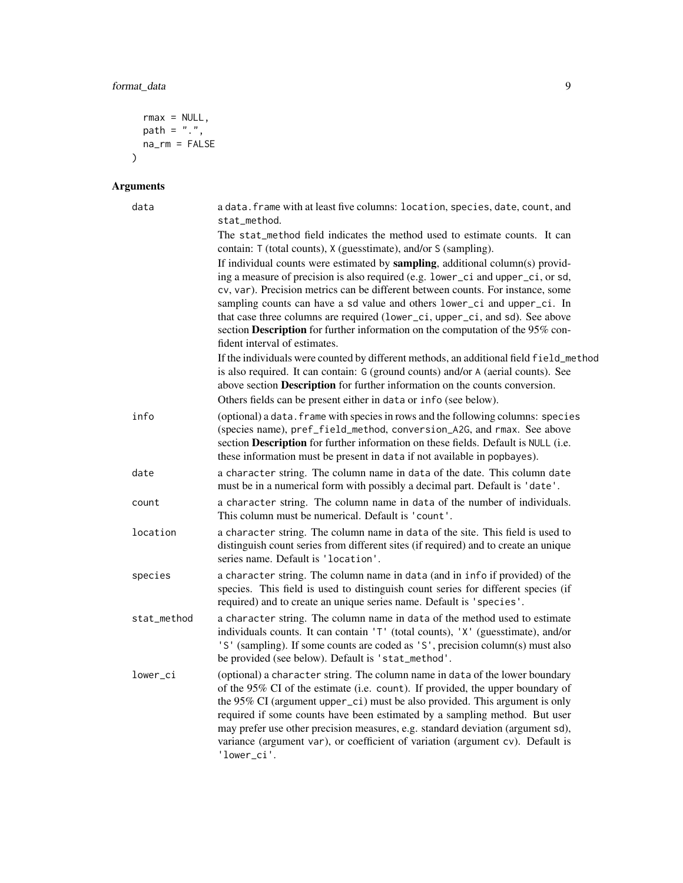```
rmax = NULL,path = "."na\_rm = FALSE\overline{)}
```
# Arguments

| data        | a data. frame with at least five columns: location, species, date, count, and<br>stat_method.                                                                                                                                                                                                                                                                                                                                                                                                                                      |
|-------------|------------------------------------------------------------------------------------------------------------------------------------------------------------------------------------------------------------------------------------------------------------------------------------------------------------------------------------------------------------------------------------------------------------------------------------------------------------------------------------------------------------------------------------|
|             | The stat_method field indicates the method used to estimate counts. It can<br>contain: T (total counts), X (guesstimate), and/or S (sampling).                                                                                                                                                                                                                                                                                                                                                                                     |
|             | If individual counts were estimated by sampling, additional column(s) provid-<br>ing a measure of precision is also required (e.g. lower_ci and upper_ci, or sd,<br>cv, var). Precision metrics can be different between counts. For instance, some<br>sampling counts can have a sd value and others lower_ci and upper_ci. In<br>that case three columns are required (lower_ci, upper_ci, and sd). See above<br>section Description for further information on the computation of the 95% con-<br>fident interval of estimates. |
|             | If the individuals were counted by different methods, an additional field field_method<br>is also required. It can contain: G (ground counts) and/or A (aerial counts). See<br>above section Description for further information on the counts conversion.                                                                                                                                                                                                                                                                         |
|             | Others fields can be present either in data or info (see below).                                                                                                                                                                                                                                                                                                                                                                                                                                                                   |
| info        | (optional) a data. frame with species in rows and the following columns: species<br>(species name), pref_field_method, conversion_A2G, and rmax. See above<br>section Description for further information on these fields. Default is NULL (i.e.<br>these information must be present in data if not available in popbayes).                                                                                                                                                                                                       |
| date        | a character string. The column name in data of the date. This column date<br>must be in a numerical form with possibly a decimal part. Default is 'date'.                                                                                                                                                                                                                                                                                                                                                                          |
| count       | a character string. The column name in data of the number of individuals.<br>This column must be numerical. Default is 'count'.                                                                                                                                                                                                                                                                                                                                                                                                    |
| location    | a character string. The column name in data of the site. This field is used to<br>distinguish count series from different sites (if required) and to create an unique<br>series name. Default is 'location'.                                                                                                                                                                                                                                                                                                                       |
| species     | a character string. The column name in data (and in info if provided) of the<br>species. This field is used to distinguish count series for different species (if<br>required) and to create an unique series name. Default is 'species'.                                                                                                                                                                                                                                                                                          |
| stat_method | a character string. The column name in data of the method used to estimate<br>individuals counts. It can contain 'T' (total counts), 'X' (guesstimate), and/or<br>'S' (sampling). If some counts are coded as 'S', precision column(s) must also<br>be provided (see below). Default is 'stat_method'.                                                                                                                                                                                                                             |
| lower_ci    | (optional) a character string. The column name in data of the lower boundary<br>of the 95% CI of the estimate (i.e. count). If provided, the upper boundary of<br>the 95% CI (argument upper_ci) must be also provided. This argument is only<br>required if some counts have been estimated by a sampling method. But user<br>may prefer use other precision measures, e.g. standard deviation (argument sd),<br>variance (argument var), or coefficient of variation (argument cv). Default is<br>'lower_ci'.                    |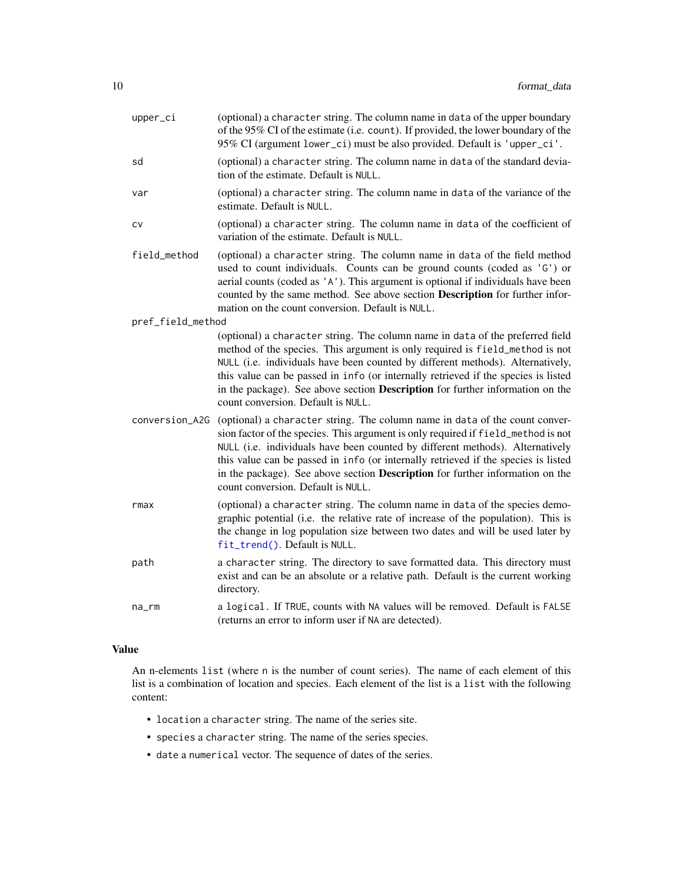<span id="page-9-0"></span>

| upper_ci          | (optional) a character string. The column name in data of the upper boundary<br>of the 95% CI of the estimate (i.e. count). If provided, the lower boundary of the<br>95% CI (argument lower_ci) must be also provided. Default is 'upper_ci'.                                                                                                                                                                                                                 |
|-------------------|----------------------------------------------------------------------------------------------------------------------------------------------------------------------------------------------------------------------------------------------------------------------------------------------------------------------------------------------------------------------------------------------------------------------------------------------------------------|
| sd                | (optional) a character string. The column name in data of the standard devia-<br>tion of the estimate. Default is NULL.                                                                                                                                                                                                                                                                                                                                        |
| var               | (optional) a character string. The column name in data of the variance of the<br>estimate. Default is NULL.                                                                                                                                                                                                                                                                                                                                                    |
| CV                | (optional) a character string. The column name in data of the coefficient of<br>variation of the estimate. Default is NULL.                                                                                                                                                                                                                                                                                                                                    |
| field_method      | (optional) a character string. The column name in data of the field method<br>used to count individuals. Counts can be ground counts (coded as 'G') or<br>aerial counts (coded as 'A'). This argument is optional if individuals have been<br>counted by the same method. See above section Description for further infor-<br>mation on the count conversion. Default is NULL.                                                                                 |
| pref_field_method |                                                                                                                                                                                                                                                                                                                                                                                                                                                                |
|                   | (optional) a character string. The column name in data of the preferred field<br>method of the species. This argument is only required is field_method is not<br>NULL (i.e. individuals have been counted by different methods). Alternatively,<br>this value can be passed in info (or internally retrieved if the species is listed<br>in the package). See above section Description for further information on the<br>count conversion. Default is NULL.   |
| conversion_A2G    | (optional) a character string. The column name in data of the count conver-<br>sion factor of the species. This argument is only required if field_method is not<br>NULL (i.e. individuals have been counted by different methods). Alternatively<br>this value can be passed in info (or internally retrieved if the species is listed<br>in the package). See above section Description for further information on the<br>count conversion. Default is NULL. |
| rmax              | (optional) a character string. The column name in data of the species demo-<br>graphic potential (i.e. the relative rate of increase of the population). This is<br>the change in log population size between two dates and will be used later by<br>fit_trend(). Default is NULL.                                                                                                                                                                             |
| path              | a character string. The directory to save formatted data. This directory must<br>exist and can be an absolute or a relative path. Default is the current working<br>directory.                                                                                                                                                                                                                                                                                 |
| na_rm             | a logical. If TRUE, counts with NA values will be removed. Default is FALSE<br>(returns an error to inform user if NA are detected).                                                                                                                                                                                                                                                                                                                           |
|                   |                                                                                                                                                                                                                                                                                                                                                                                                                                                                |

# Value

An n-elements list (where n is the number of count series). The name of each element of this list is a combination of location and species. Each element of the list is a list with the following content:

- location a character string. The name of the series site.
- species a character string. The name of the series species.
- date a numerical vector. The sequence of dates of the series.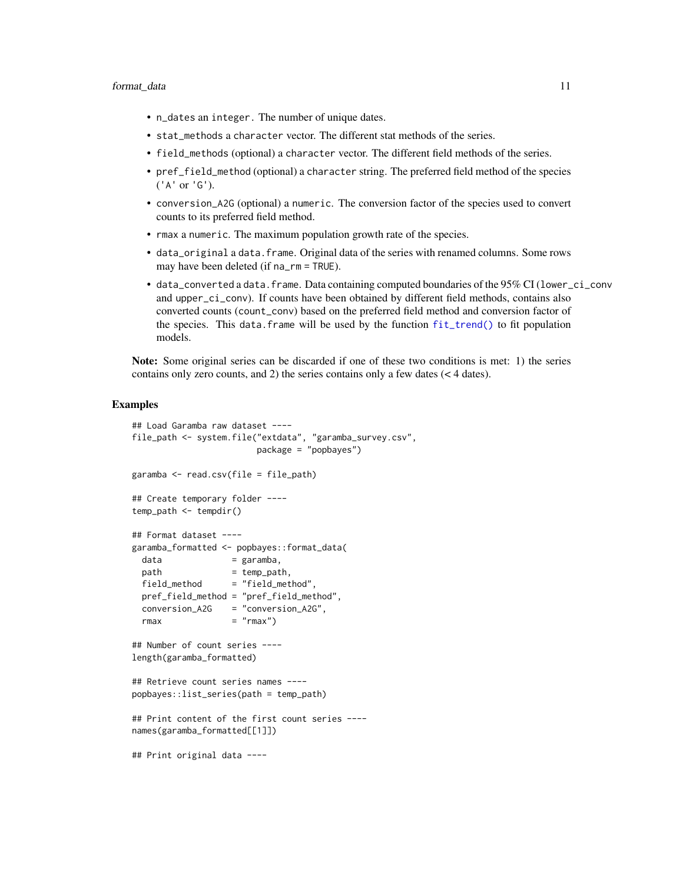- <span id="page-10-0"></span>• n\_dates an integer. The number of unique dates.
- stat\_methods a character vector. The different stat methods of the series.
- field\_methods (optional) a character vector. The different field methods of the series.
- pref\_field\_method (optional) a character string. The preferred field method of the species ('A' or 'G').
- conversion\_A2G (optional) a numeric. The conversion factor of the species used to convert counts to its preferred field method.
- rmax a numeric. The maximum population growth rate of the species.
- data\_original a data.frame. Original data of the series with renamed columns. Some rows may have been deleted (if na\_rm = TRUE).
- data\_converted a data.frame. Data containing computed boundaries of the 95% CI (lower\_ci\_conv and upper\_ci\_conv). If counts have been obtained by different field methods, contains also converted counts (count\_conv) based on the preferred field method and conversion factor of the species. This data.frame will be used by the function [fit\\_trend\(\)](#page-4-1) to fit population models.

Note: Some original series can be discarded if one of these two conditions is met: 1) the series contains only zero counts, and 2) the series contains only a few dates (< 4 dates).

```
## Load Garamba raw dataset ----
file_path <- system.file("extdata", "garamba_survey.csv",
                        package = "popbayes")
garamba <- read.csv(file = file_path)
## Create temporary folder ----
temp_path <- tempdir()
## Format dataset ----
garamba_formatted <- popbayes::format_data(
 data = garamba,<br>path = temp pat
  path = temp_path,
  field_method = "field_method",
 pref_field_method = "pref_field_method",
 conversion_A2G = "conversion_A2G",
 rmax = "rmax")## Number of count series ----
length(garamba_formatted)
## Retrieve count series names ----
popbayes::list_series(path = temp_path)
## Print content of the first count series ----
names(garamba_formatted[[1]])
## Print original data ----
```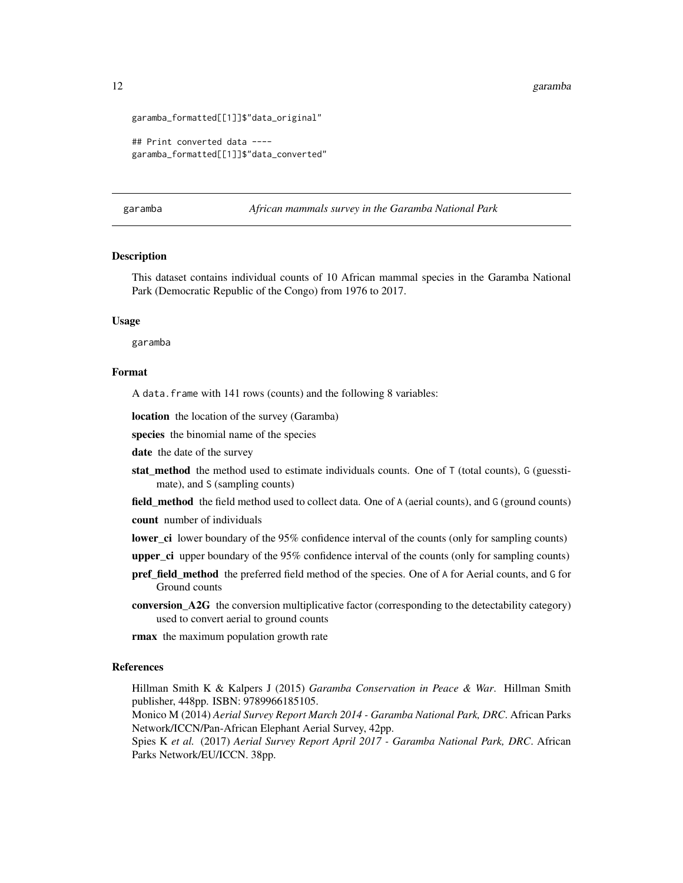```
garamba_formatted[[1]]$"data_original"
```

```
## Print converted data ----
garamba_formatted[[1]]$"data_converted"
```
garamba *African mammals survey in the Garamba National Park*

# **Description**

This dataset contains individual counts of 10 African mammal species in the Garamba National Park (Democratic Republic of the Congo) from 1976 to 2017.

# Usage

garamba

# Format

A data.frame with 141 rows (counts) and the following 8 variables:

location the location of the survey (Garamba)

species the binomial name of the species

date the date of the survey

stat method the method used to estimate individuals counts. One of  $T$  (total counts), G (guesstimate), and S (sampling counts)

field\_method the field method used to collect data. One of A (aerial counts), and G (ground counts) count number of individuals

lower\_ci lower boundary of the 95% confidence interval of the counts (only for sampling counts)

- **upper** ci upper boundary of the  $95\%$  confidence interval of the counts (only for sampling counts)
- pref\_field\_method the preferred field method of the species. One of A for Aerial counts, and G for Ground counts
- conversion\_A2G the conversion multiplicative factor (corresponding to the detectability category) used to convert aerial to ground counts

**rmax** the maximum population growth rate

# References

Hillman Smith K & Kalpers J (2015) *Garamba Conservation in Peace & War*. Hillman Smith publisher, 448pp. ISBN: 9789966185105.

Monico M (2014) *Aerial Survey Report March 2014 - Garamba National Park, DRC*. African Parks Network/ICCN/Pan-African Elephant Aerial Survey, 42pp.

Spies K *et al.* (2017) *Aerial Survey Report April 2017 - Garamba National Park, DRC*. African Parks Network/EU/ICCN. 38pp.

<span id="page-11-0"></span>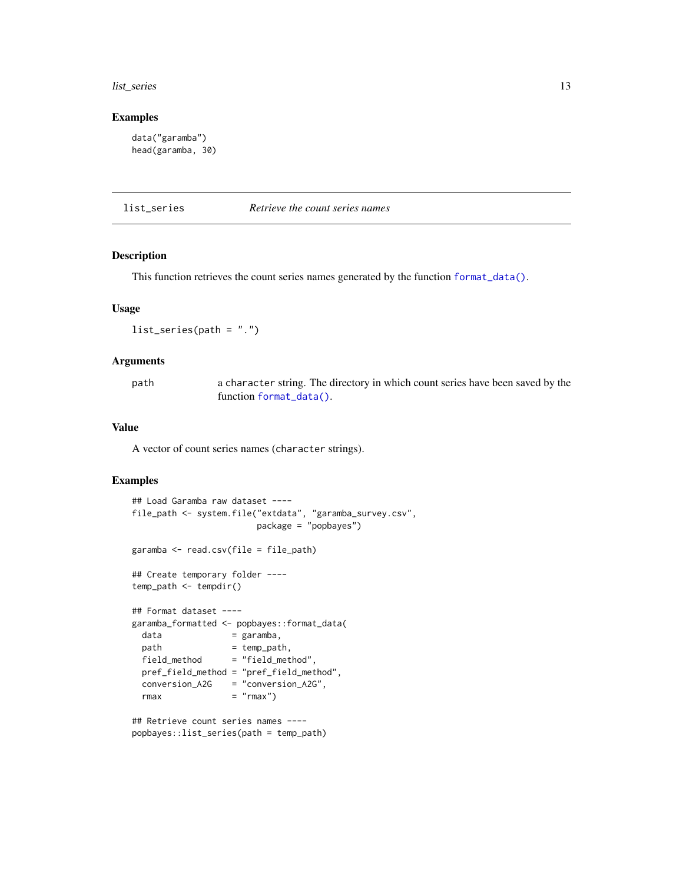#### <span id="page-12-0"></span>list\_series 13

#### Examples

```
data("garamba")
head(garamba, 30)
```
<span id="page-12-1"></span>

list\_series *Retrieve the count series names*

# Description

This function retrieves the count series names generated by the function [format\\_data\(\)](#page-6-1).

# Usage

```
list_series(path = ".")
```
# Arguments

path a character string. The directory in which count series have been saved by the function [format\\_data\(\)](#page-6-1).

# Value

A vector of count series names (character strings).

# Examples

```
## Load Garamba raw dataset ----
file_path <- system.file("extdata", "garamba_survey.csv",
                      package = "popbayes")
garamba <- read.csv(file = file_path)
## Create temporary folder ----
temp_path <- tempdir()
## Format dataset ----
garamba_formatted <- popbayes::format_data(
 data = garamba,
 path = temp\_path,field_method = "field_method",
 pref_field_method = "pref_field_method",
 conversion_A2G = "conversion_A2G",
 rmax = "rmax")## Retrieve count series names ----
```
popbayes::list\_series(path = temp\_path)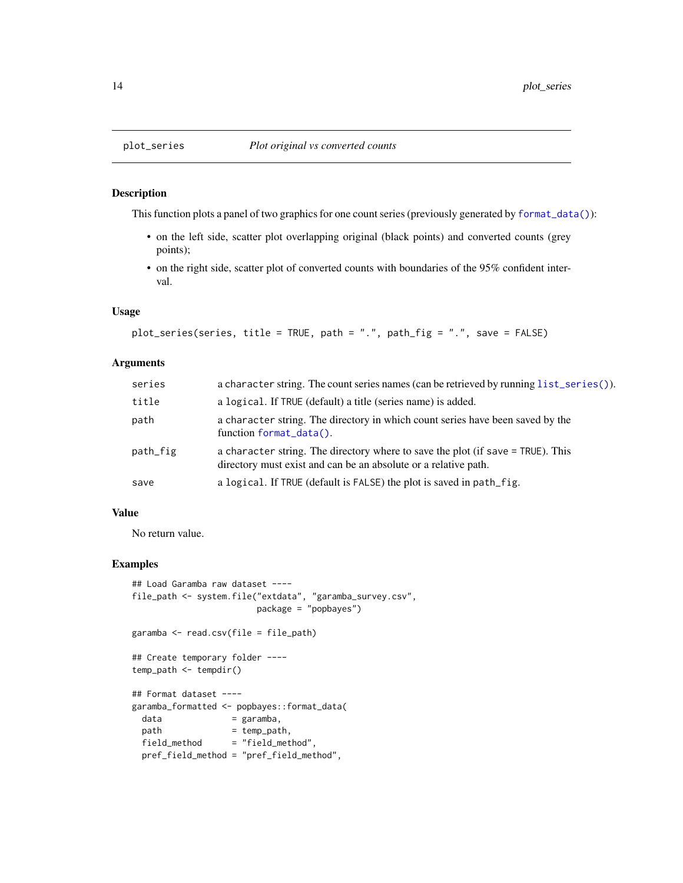# Description

This function plots a panel of two graphics for one count series (previously generated by [format\\_data\(\)](#page-6-1)):

- on the left side, scatter plot overlapping original (black points) and converted counts (grey points);
- on the right side, scatter plot of converted counts with boundaries of the 95% confident interval.

### Usage

```
plot_series(series, title = TRUE, path = ".", path_fig = ".", save = FALSE)
```
# Arguments

| series   | a character string. The count series names (can be retrieved by running list_series()).                                                            |
|----------|----------------------------------------------------------------------------------------------------------------------------------------------------|
| title    | a logical. If TRUE (default) a title (series name) is added.                                                                                       |
| path     | a character string. The directory in which count series have been saved by the<br>function format_data().                                          |
| path_fig | a character string. The directory where to save the plot (if save = TRUE). This<br>directory must exist and can be an absolute or a relative path. |
| save     | a logical. If TRUE (default is FALSE) the plot is saved in path_fig.                                                                               |

#### Value

No return value.

```
## Load Garamba raw dataset ----
file_path <- system.file("extdata", "garamba_survey.csv",
                        package = "popbayes")
garamba <- read.csv(file = file_path)
## Create temporary folder ----
temp_path <- tempdir()
## Format dataset ----
garamba_formatted <- popbayes::format_data(
 data = garamba,<br>path = temp_pat
                   = temp_path,
 field_method = "field_method",
 pref_field_method = "pref_field_method",
```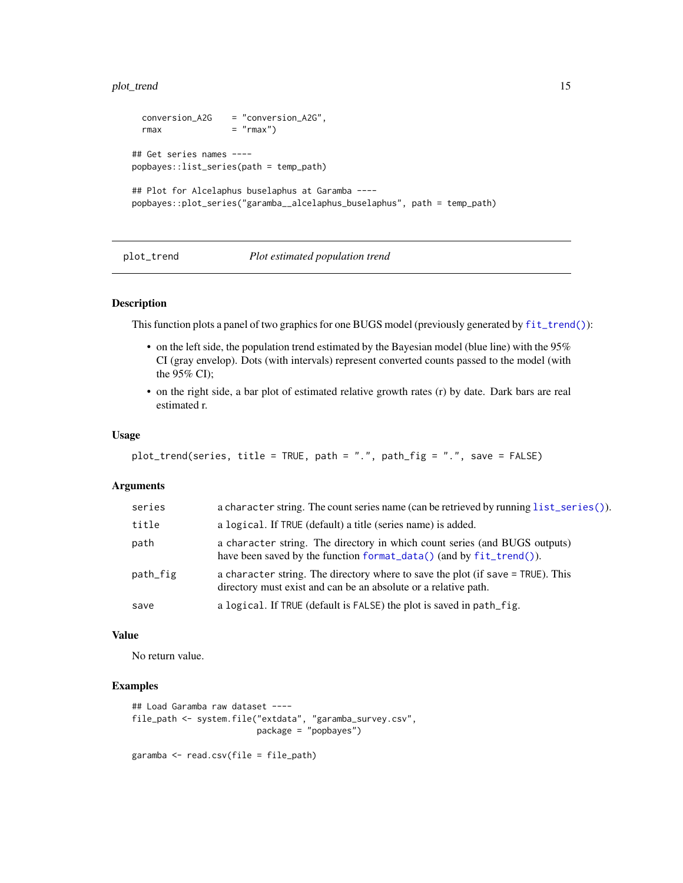# <span id="page-14-0"></span>plot\_trend 15

```
conversion_A2G = "conversion_A2G",
 rmax = "rmax")
## Get series names ----
popbayes::list_series(path = temp_path)
## Plot for Alcelaphus buselaphus at Garamba ----
popbayes::plot_series("garamba__alcelaphus_buselaphus", path = temp_path)
```
# plot\_trend *Plot estimated population trend*

# Description

This function plots a panel of two graphics for one BUGS model (previously generated by [fit\\_trend\(\)](#page-4-1)):

- on the left side, the population trend estimated by the Bayesian model (blue line) with the 95% CI (gray envelop). Dots (with intervals) represent converted counts passed to the model (with the 95% CI);
- on the right side, a bar plot of estimated relative growth rates (r) by date. Dark bars are real estimated r.

# Usage

```
plot_trend(series, title = TRUE, path = ".", path_fig = ".", save = FALSE)
```
# Arguments

| series   | a character string. The count series name (can be retrieved by running list_series()).                                                             |
|----------|----------------------------------------------------------------------------------------------------------------------------------------------------|
| title    | a logical. If TRUE (default) a title (series name) is added.                                                                                       |
| path     | a character string. The directory in which count series (and BUGS outputs)<br>have been saved by the function format_data() (and by fit_trend()).  |
| path_fig | a character string. The directory where to save the plot (if save = TRUE). This<br>directory must exist and can be an absolute or a relative path. |
| save     | a logical. If TRUE (default is FALSE) the plot is saved in path_fig.                                                                               |

# Value

No return value.

```
## Load Garamba raw dataset ----
file_path <- system.file("extdata", "garamba_survey.csv",
                        package = "popbayes")
```

```
garamba <- read.csv(file = file_path)
```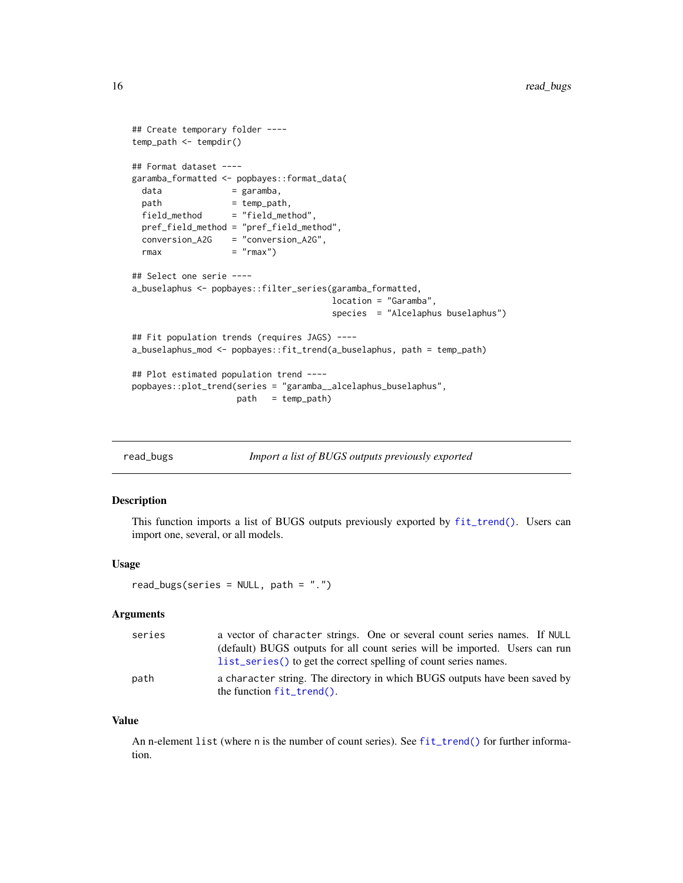```
## Create temporary folder ----
temp_path <- tempdir()
## Format dataset ----
garamba_formatted <- popbayes::format_data(
 data = garamba,
 path = temp_path,
 field_method = "field_method",
 pref_field_method = "pref_field_method",
 conversion_A2G = "conversion_A2G",
 rmax = "rmax")
## Select one serie ----
a_buselaphus <- popbayes::filter_series(garamba_formatted,
                                     location = "Garamba",
                                     species = "Alcelaphus buselaphus")
## Fit population trends (requires JAGS) ----
a_buselaphus_mod <- popbayes::fit_trend(a_buselaphus, path = temp_path)
## Plot estimated population trend ----
popbayes::plot_trend(series = "garamba__alcelaphus_buselaphus",
                   path = temp_path)
```
<span id="page-15-1"></span>read\_bugs *Import a list of BUGS outputs previously exported*

# Description

This function imports a list of BUGS outputs previously exported by [fit\\_trend\(\)](#page-4-1). Users can import one, several, or all models.

#### Usage

```
read_bugs(series = NULL, path = ".")
```
#### Arguments

| series | a vector of character strings. One or several count series names. If NULL   |
|--------|-----------------------------------------------------------------------------|
|        | (default) BUGS outputs for all count series will be imported. Users can run |
|        | list_series() to get the correct spelling of count series names.            |
| path   | a character string. The directory in which BUGS outputs have been saved by  |
|        |                                                                             |

#### Value

An n-element list (where n is the number of count series). See [fit\\_trend\(\)](#page-4-1) for further information.

<span id="page-15-0"></span>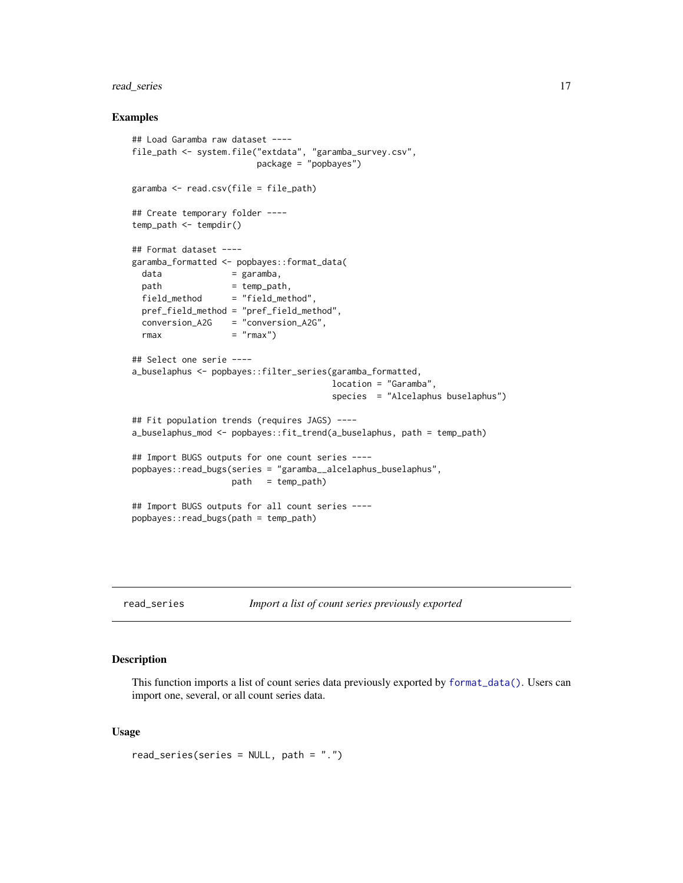# <span id="page-16-0"></span>read\_series 17

# Examples

```
## Load Garamba raw dataset ----
file_path <- system.file("extdata", "garamba_survey.csv",
                       package = "popbayes")
garamba <- read.csv(file = file_path)
## Create temporary folder ----
temp_path <- tempdir()
## Format dataset ----
garamba_formatted <- popbayes::format_data(
 data = garamba,
 path = temp_path,
 field_method = "field_method",
 pref_field_method = "pref_field_method",
 conversion_A2G = "conversion_A2G",
 rmax = "rmax")
## Select one serie ----
a_buselaphus <- popbayes::filter_series(garamba_formatted,
                                      location = "Garamba",
                                      species = "Alcelaphus buselaphus")
## Fit population trends (requires JAGS) ----
a_buselaphus_mod <- popbayes::fit_trend(a_buselaphus, path = temp_path)
## Import BUGS outputs for one count series ----
popbayes::read_bugs(series = "garamba__alcelaphus_buselaphus",
                   path = temp_path)
## Import BUGS outputs for all count series ----
popbayes::read_bugs(path = temp_path)
```
read\_series *Import a list of count series previously exported*

# Description

This function imports a list of count series data previously exported by [format\\_data\(\)](#page-6-1). Users can import one, several, or all count series data.

# Usage

read\_series(series = NULL, path = ".")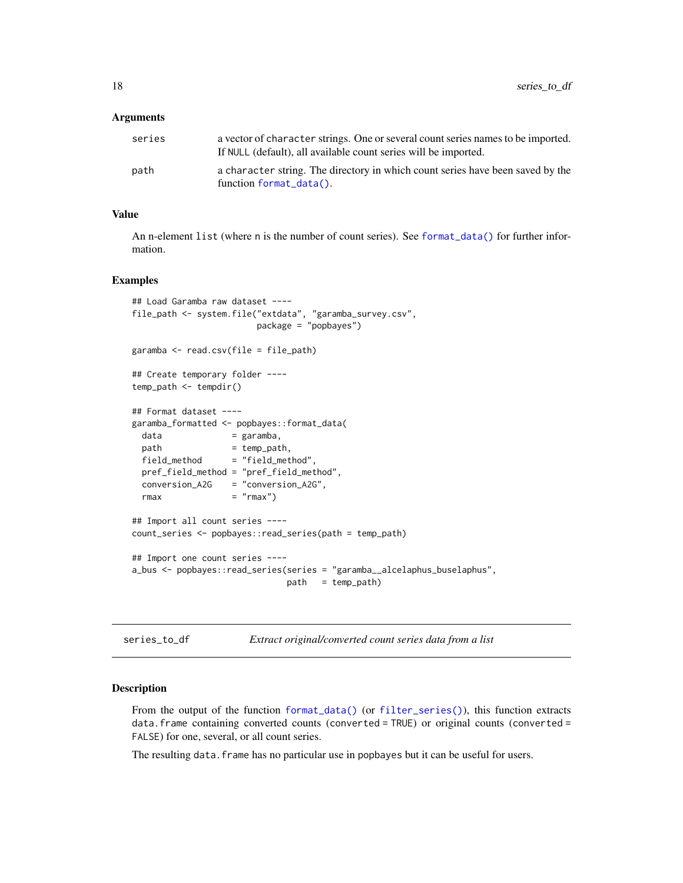#### <span id="page-17-0"></span>**Arguments**

| series | a vector of character strings. One or several count series names to be imported.<br>If NULL (default), all available count series will be imported. |
|--------|-----------------------------------------------------------------------------------------------------------------------------------------------------|
| path   | a character string. The directory in which count series have been saved by the<br>function format_data().                                           |

# Value

An n-element list (where n is the number of count series). See [format\\_data\(\)](#page-6-1) for further information.

# Examples

```
## Load Garamba raw dataset ----
file_path <- system.file("extdata", "garamba_survey.csv",
                       package = "popbayes")
garamba <- read.csv(file = file_path)
## Create temporary folder ----
temp_path <- tempdir()
## Format dataset ----
garamba_formatted <- popbayes::format_data(
 data = garamba,
 path = temp_path,
 field_method = "field_method",
 pref_field_method = "pref_field_method",
 conversion_A2G = "conversion_A2G",
 rmax = "rmax")## Import all count series ----
count_series <- popbayes::read_series(path = temp_path)
## Import one count series ----
a_bus <- popbayes::read_series(series = "garamba__alcelaphus_buselaphus",
                             path = temp_path)
```
series\_to\_df *Extract original/converted count series data from a list*

#### Description

From the output of the function [format\\_data\(\)](#page-6-1) (or [filter\\_series\(\)](#page-3-1)), this function extracts data.frame containing converted counts (converted = TRUE) or original counts (converted = FALSE) for one, several, or all count series.

The resulting data. frame has no particular use in popbayes but it can be useful for users.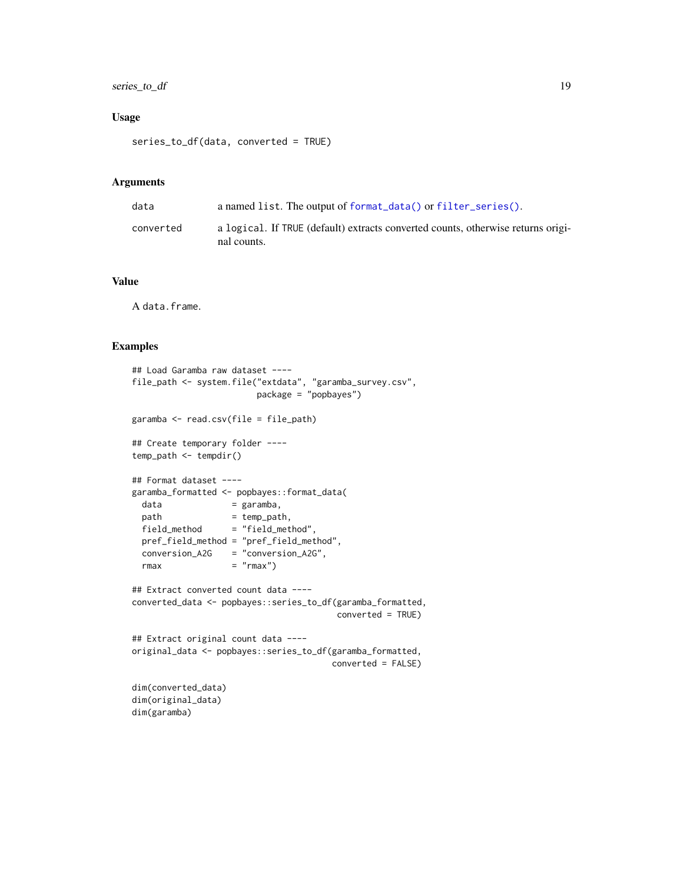# <span id="page-18-0"></span>series\_to\_df 19

# Usage

```
series_to_df(data, converted = TRUE)
```
#### Arguments

| data      | a named list. The output of format_data() or filter_series().                                   |
|-----------|-------------------------------------------------------------------------------------------------|
| converted | a logical. If TRUE (default) extracts converted counts, otherwise returns origi-<br>nal counts. |

# Value

A data.frame.

```
## Load Garamba raw dataset ----
file_path <- system.file("extdata", "garamba_survey.csv",
                       package = "popbayes")
garamba <- read.csv(file = file_path)
## Create temporary folder ----
temp_path <- tempdir()
## Format dataset ----
garamba_formatted <- popbayes::format_data(
 data = garamba,
 path = temp_path,
 field_method = "field_method",
 pref_field_method = "pref_field_method",
 conversion_A2G = "conversion_A2G",
 rmax = "rmax")
## Extract converted count data ----
converted_data <- popbayes::series_to_df(garamba_formatted,
                                      converted = TRUE)
## Extract original count data ----
original_data <- popbayes::series_to_df(garamba_formatted,
                                     converted = FALSE)
dim(converted_data)
dim(original_data)
dim(garamba)
```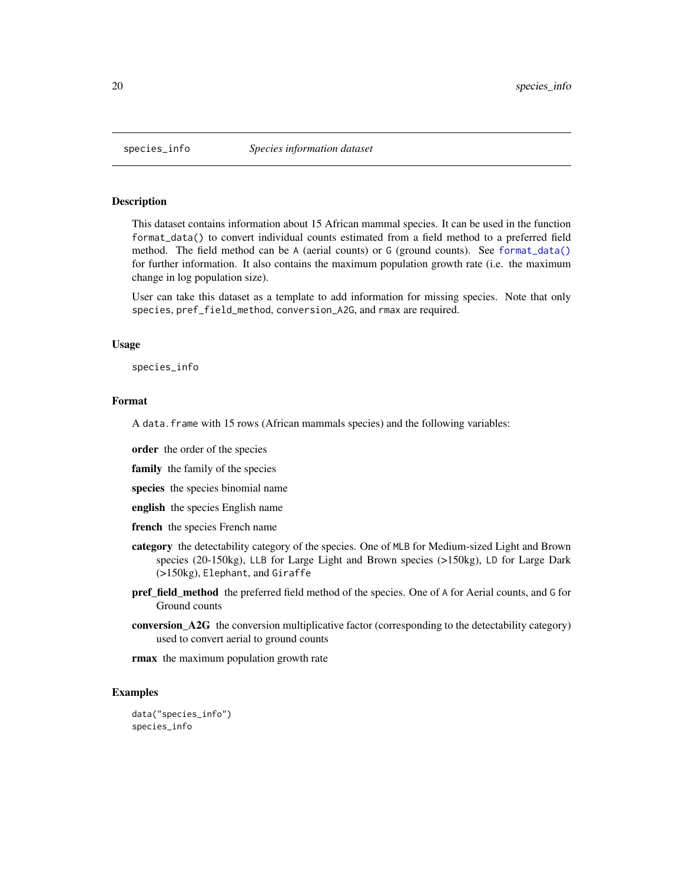<span id="page-19-0"></span>

# Description

This dataset contains information about 15 African mammal species. It can be used in the function format\_data() to convert individual counts estimated from a field method to a preferred field method. The field method can be A (aerial counts) or G (ground counts). See [format\\_data\(\)](#page-6-1) for further information. It also contains the maximum population growth rate (i.e. the maximum change in log population size).

User can take this dataset as a template to add information for missing species. Note that only species, pref\_field\_method, conversion\_A2G, and rmax are required.

# Usage

species\_info

# Format

A data.frame with 15 rows (African mammals species) and the following variables:

order the order of the species

family the family of the species

species the species binomial name

- english the species English name
- french the species French name
- category the detectability category of the species. One of MLB for Medium-sized Light and Brown species (20-150kg), LLB for Large Light and Brown species (>150kg), LD for Large Dark (>150kg), Elephant, and Giraffe
- pref\_field\_method the preferred field method of the species. One of A for Aerial counts, and G for Ground counts
- conversion\_A2G the conversion multiplicative factor (corresponding to the detectability category) used to convert aerial to ground counts

rmax the maximum population growth rate

# Examples

data("species\_info") species\_info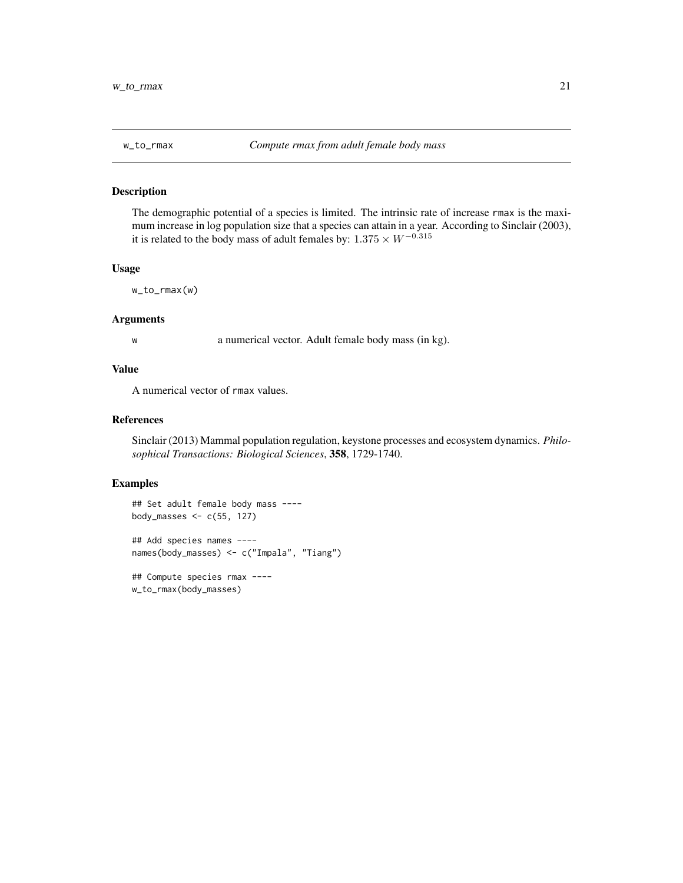<span id="page-20-0"></span>

# Description

The demographic potential of a species is limited. The intrinsic rate of increase rmax is the maximum increase in log population size that a species can attain in a year. According to Sinclair (2003), it is related to the body mass of adult females by:  $1.375 \times W^{-0.315}$ 

# Usage

w\_to\_rmax(w)

# Arguments

w a numerical vector. Adult female body mass (in kg).

# Value

A numerical vector of rmax values.

#### References

Sinclair (2013) Mammal population regulation, keystone processes and ecosystem dynamics. *Philosophical Transactions: Biological Sciences*, 358, 1729-1740.

# Examples

```
## Set adult female body mass ----
body_masses \leq c(55, 127)
## Add species names ----
names(body_masses) <- c("Impala", "Tiang")
```
## Compute species rmax --- w\_to\_rmax(body\_masses)